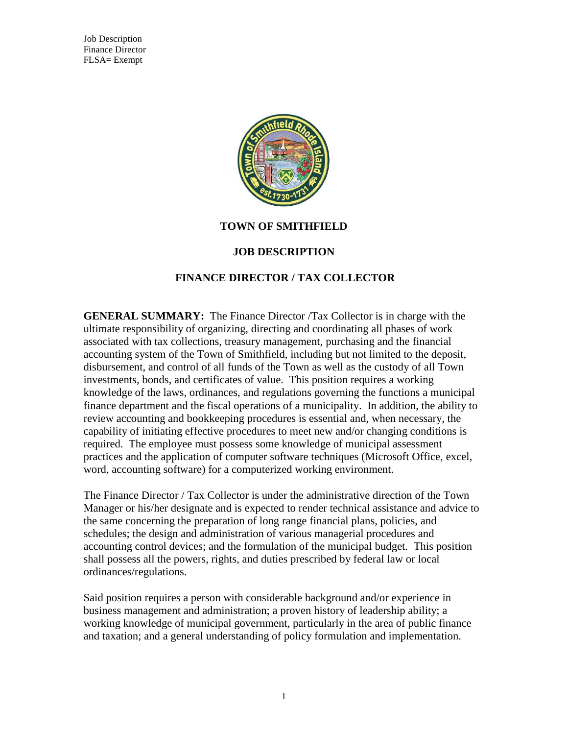Job Description Finance Director FLSA= Exempt



#### **TOWN OF SMITHFIELD**

#### **JOB DESCRIPTION**

## **FINANCE DIRECTOR / TAX COLLECTOR**

**GENERAL SUMMARY:** The Finance Director /Tax Collector is in charge with the ultimate responsibility of organizing, directing and coordinating all phases of work associated with tax collections, treasury management, purchasing and the financial accounting system of the Town of Smithfield, including but not limited to the deposit, disbursement, and control of all funds of the Town as well as the custody of all Town investments, bonds, and certificates of value. This position requires a working knowledge of the laws, ordinances, and regulations governing the functions a municipal finance department and the fiscal operations of a municipality. In addition, the ability to review accounting and bookkeeping procedures is essential and, when necessary, the capability of initiating effective procedures to meet new and/or changing conditions is required. The employee must possess some knowledge of municipal assessment practices and the application of computer software techniques (Microsoft Office, excel, word, accounting software) for a computerized working environment.

The Finance Director / Tax Collector is under the administrative direction of the Town Manager or his/her designate and is expected to render technical assistance and advice to the same concerning the preparation of long range financial plans, policies, and schedules; the design and administration of various managerial procedures and accounting control devices; and the formulation of the municipal budget. This position shall possess all the powers, rights, and duties prescribed by federal law or local ordinances/regulations.

Said position requires a person with considerable background and/or experience in business management and administration; a proven history of leadership ability; a working knowledge of municipal government, particularly in the area of public finance and taxation; and a general understanding of policy formulation and implementation.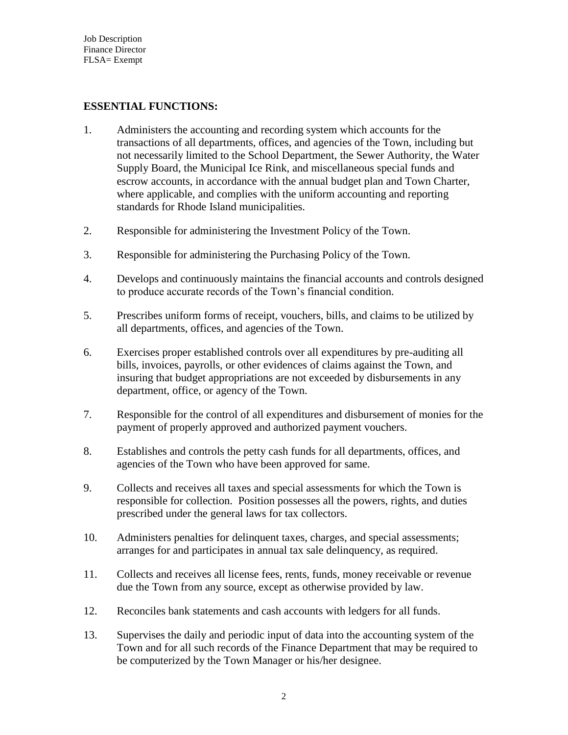## **ESSENTIAL FUNCTIONS:**

- 1. Administers the accounting and recording system which accounts for the transactions of all departments, offices, and agencies of the Town, including but not necessarily limited to the School Department, the Sewer Authority, the Water Supply Board, the Municipal Ice Rink, and miscellaneous special funds and escrow accounts, in accordance with the annual budget plan and Town Charter, where applicable, and complies with the uniform accounting and reporting standards for Rhode Island municipalities.
- 2. Responsible for administering the Investment Policy of the Town.
- 3. Responsible for administering the Purchasing Policy of the Town.
- 4. Develops and continuously maintains the financial accounts and controls designed to produce accurate records of the Town's financial condition.
- 5. Prescribes uniform forms of receipt, vouchers, bills, and claims to be utilized by all departments, offices, and agencies of the Town.
- 6. Exercises proper established controls over all expenditures by pre-auditing all bills, invoices, payrolls, or other evidences of claims against the Town, and insuring that budget appropriations are not exceeded by disbursements in any department, office, or agency of the Town.
- 7. Responsible for the control of all expenditures and disbursement of monies for the payment of properly approved and authorized payment vouchers.
- 8. Establishes and controls the petty cash funds for all departments, offices, and agencies of the Town who have been approved for same.
- 9. Collects and receives all taxes and special assessments for which the Town is responsible for collection. Position possesses all the powers, rights, and duties prescribed under the general laws for tax collectors.
- 10. Administers penalties for delinquent taxes, charges, and special assessments; arranges for and participates in annual tax sale delinquency, as required.
- 11. Collects and receives all license fees, rents, funds, money receivable or revenue due the Town from any source, except as otherwise provided by law.
- 12. Reconciles bank statements and cash accounts with ledgers for all funds.
- 13. Supervises the daily and periodic input of data into the accounting system of the Town and for all such records of the Finance Department that may be required to be computerized by the Town Manager or his/her designee.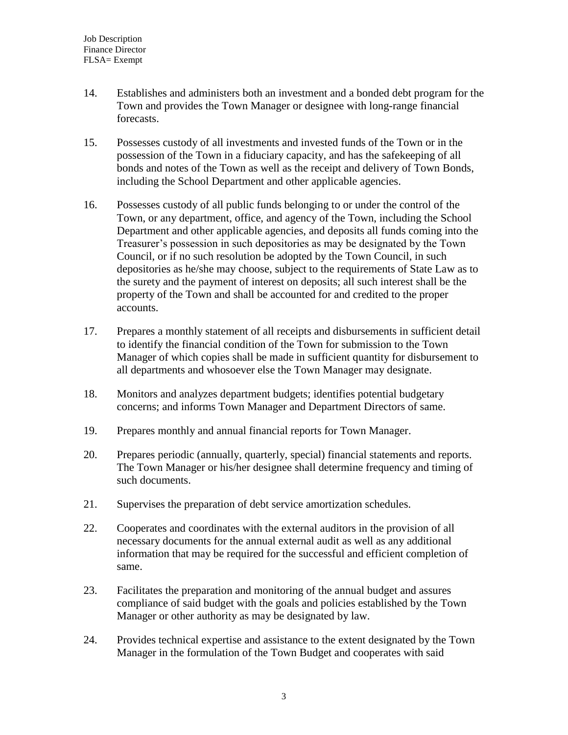- 14. Establishes and administers both an investment and a bonded debt program for the Town and provides the Town Manager or designee with long-range financial forecasts.
- 15. Possesses custody of all investments and invested funds of the Town or in the possession of the Town in a fiduciary capacity, and has the safekeeping of all bonds and notes of the Town as well as the receipt and delivery of Town Bonds, including the School Department and other applicable agencies.
- 16. Possesses custody of all public funds belonging to or under the control of the Town, or any department, office, and agency of the Town, including the School Department and other applicable agencies, and deposits all funds coming into the Treasurer's possession in such depositories as may be designated by the Town Council, or if no such resolution be adopted by the Town Council, in such depositories as he/she may choose, subject to the requirements of State Law as to the surety and the payment of interest on deposits; all such interest shall be the property of the Town and shall be accounted for and credited to the proper accounts.
- 17. Prepares a monthly statement of all receipts and disbursements in sufficient detail to identify the financial condition of the Town for submission to the Town Manager of which copies shall be made in sufficient quantity for disbursement to all departments and whosoever else the Town Manager may designate.
- 18. Monitors and analyzes department budgets; identifies potential budgetary concerns; and informs Town Manager and Department Directors of same.
- 19. Prepares monthly and annual financial reports for Town Manager.
- 20. Prepares periodic (annually, quarterly, special) financial statements and reports. The Town Manager or his/her designee shall determine frequency and timing of such documents.
- 21. Supervises the preparation of debt service amortization schedules.
- 22. Cooperates and coordinates with the external auditors in the provision of all necessary documents for the annual external audit as well as any additional information that may be required for the successful and efficient completion of same.
- 23. Facilitates the preparation and monitoring of the annual budget and assures compliance of said budget with the goals and policies established by the Town Manager or other authority as may be designated by law.
- 24. Provides technical expertise and assistance to the extent designated by the Town Manager in the formulation of the Town Budget and cooperates with said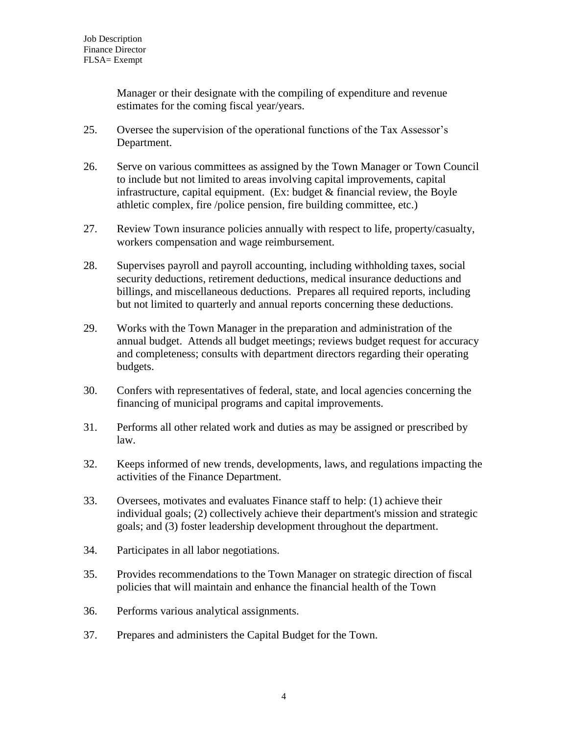Manager or their designate with the compiling of expenditure and revenue estimates for the coming fiscal year/years.

- 25. Oversee the supervision of the operational functions of the Tax Assessor's Department.
- 26. Serve on various committees as assigned by the Town Manager or Town Council to include but not limited to areas involving capital improvements, capital infrastructure, capital equipment. (Ex: budget & financial review, the Boyle athletic complex, fire /police pension, fire building committee, etc.)
- 27. Review Town insurance policies annually with respect to life, property/casualty, workers compensation and wage reimbursement.
- 28. Supervises payroll and payroll accounting, including withholding taxes, social security deductions, retirement deductions, medical insurance deductions and billings, and miscellaneous deductions. Prepares all required reports, including but not limited to quarterly and annual reports concerning these deductions.
- 29. Works with the Town Manager in the preparation and administration of the annual budget. Attends all budget meetings; reviews budget request for accuracy and completeness; consults with department directors regarding their operating budgets.
- 30. Confers with representatives of federal, state, and local agencies concerning the financing of municipal programs and capital improvements.
- 31. Performs all other related work and duties as may be assigned or prescribed by law.
- 32. Keeps informed of new trends, developments, laws, and regulations impacting the activities of the Finance Department.
- 33. Oversees, motivates and evaluates Finance staff to help: (1) achieve their individual goals; (2) collectively achieve their department's mission and strategic goals; and (3) foster leadership development throughout the department.
- 34. Participates in all labor negotiations.
- 35. Provides recommendations to the Town Manager on strategic direction of fiscal policies that will maintain and enhance the financial health of the Town
- 36. Performs various analytical assignments.
- 37. Prepares and administers the Capital Budget for the Town.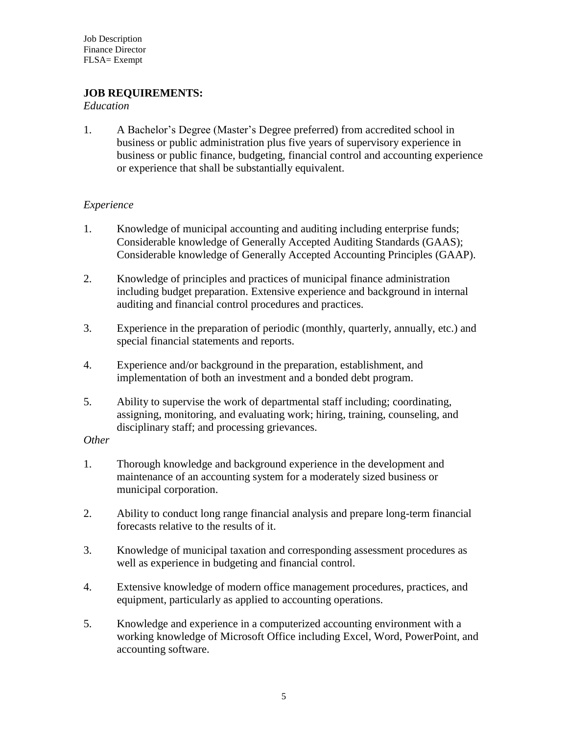## **JOB REQUIREMENTS:**

#### *Education*

1. A Bachelor's Degree (Master's Degree preferred) from accredited school in business or public administration plus five years of supervisory experience in business or public finance, budgeting, financial control and accounting experience or experience that shall be substantially equivalent.

#### *Experience*

- 1. Knowledge of municipal accounting and auditing including enterprise funds; Considerable knowledge of Generally Accepted Auditing Standards (GAAS); Considerable knowledge of Generally Accepted Accounting Principles (GAAP).
- 2. Knowledge of principles and practices of municipal finance administration including budget preparation. Extensive experience and background in internal auditing and financial control procedures and practices.
- 3. Experience in the preparation of periodic (monthly, quarterly, annually, etc.) and special financial statements and reports.
- 4. Experience and/or background in the preparation, establishment, and implementation of both an investment and a bonded debt program.
- 5. Ability to supervise the work of departmental staff including; coordinating, assigning, monitoring, and evaluating work; hiring, training, counseling, and disciplinary staff; and processing grievances.

#### *Other*

- 1. Thorough knowledge and background experience in the development and maintenance of an accounting system for a moderately sized business or municipal corporation.
- 2. Ability to conduct long range financial analysis and prepare long-term financial forecasts relative to the results of it.
- 3. Knowledge of municipal taxation and corresponding assessment procedures as well as experience in budgeting and financial control.
- 4. Extensive knowledge of modern office management procedures, practices, and equipment, particularly as applied to accounting operations.
- 5. Knowledge and experience in a computerized accounting environment with a working knowledge of Microsoft Office including Excel, Word, PowerPoint, and accounting software.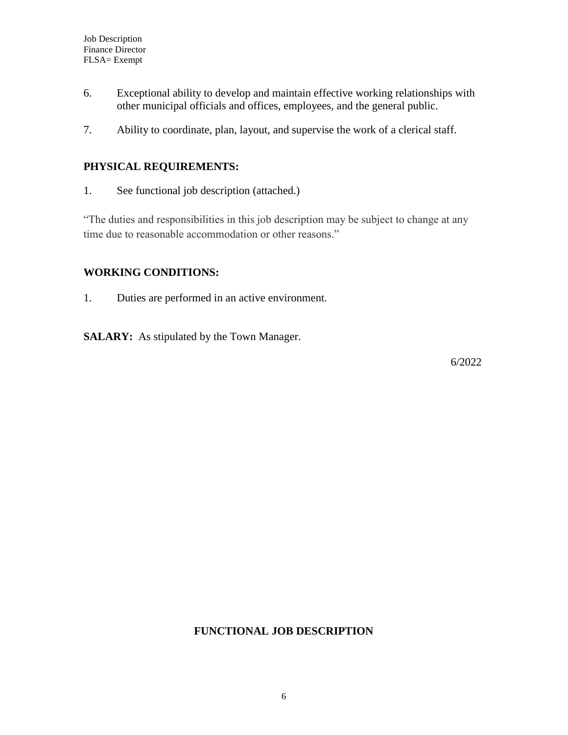- 6. Exceptional ability to develop and maintain effective working relationships with other municipal officials and offices, employees, and the general public.
- 7. Ability to coordinate, plan, layout, and supervise the work of a clerical staff.

# **PHYSICAL REQUIREMENTS:**

1. See functional job description (attached.)

"The duties and responsibilities in this job description may be subject to change at any time due to reasonable accommodation or other reasons."

## **WORKING CONDITIONS:**

1. Duties are performed in an active environment.

**SALARY:** As stipulated by the Town Manager.

6/2022

## **FUNCTIONAL JOB DESCRIPTION**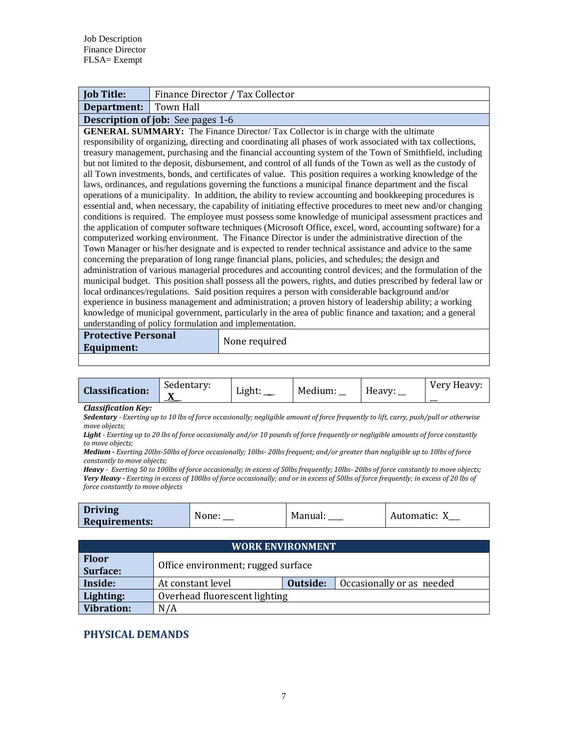| <b>Job Title:</b>                                                                                                                                                                                                                                                                                                                                                                                                                                                                                                                                                                                                                                                                                                                                                                                                                                                                                                                                                                                                                                                                                                                                                                                                                                                                                                                                                                                                                                                                                                                                                                                                                                                                                                                                                                                                                                                                                                                                                                                                                                                | Finance Director / Tax Collector                                  |  |               |                |              |               |  |             |
|------------------------------------------------------------------------------------------------------------------------------------------------------------------------------------------------------------------------------------------------------------------------------------------------------------------------------------------------------------------------------------------------------------------------------------------------------------------------------------------------------------------------------------------------------------------------------------------------------------------------------------------------------------------------------------------------------------------------------------------------------------------------------------------------------------------------------------------------------------------------------------------------------------------------------------------------------------------------------------------------------------------------------------------------------------------------------------------------------------------------------------------------------------------------------------------------------------------------------------------------------------------------------------------------------------------------------------------------------------------------------------------------------------------------------------------------------------------------------------------------------------------------------------------------------------------------------------------------------------------------------------------------------------------------------------------------------------------------------------------------------------------------------------------------------------------------------------------------------------------------------------------------------------------------------------------------------------------------------------------------------------------------------------------------------------------|-------------------------------------------------------------------|--|---------------|----------------|--------------|---------------|--|-------------|
| Department:                                                                                                                                                                                                                                                                                                                                                                                                                                                                                                                                                                                                                                                                                                                                                                                                                                                                                                                                                                                                                                                                                                                                                                                                                                                                                                                                                                                                                                                                                                                                                                                                                                                                                                                                                                                                                                                                                                                                                                                                                                                      | <b>Town Hall</b>                                                  |  |               |                |              |               |  |             |
| <b>Description of job:</b> See pages 1-6                                                                                                                                                                                                                                                                                                                                                                                                                                                                                                                                                                                                                                                                                                                                                                                                                                                                                                                                                                                                                                                                                                                                                                                                                                                                                                                                                                                                                                                                                                                                                                                                                                                                                                                                                                                                                                                                                                                                                                                                                         |                                                                   |  |               |                |              |               |  |             |
| <b>GENERAL SUMMARY:</b> The Finance Director/Tax Collector is in charge with the ultimate<br>responsibility of organizing, directing and coordinating all phases of work associated with tax collections,<br>treasury management, purchasing and the financial accounting system of the Town of Smithfield, including<br>but not limited to the deposit, disbursement, and control of all funds of the Town as well as the custody of<br>all Town investments, bonds, and certificates of value. This position requires a working knowledge of the<br>laws, ordinances, and regulations governing the functions a municipal finance department and the fiscal<br>operations of a municipality. In addition, the ability to review accounting and bookkeeping procedures is<br>essential and, when necessary, the capability of initiating effective procedures to meet new and/or changing<br>conditions is required. The employee must possess some knowledge of municipal assessment practices and<br>the application of computer software techniques (Microsoft Office, excel, word, accounting software) for a<br>computerized working environment. The Finance Director is under the administrative direction of the<br>Town Manager or his/her designate and is expected to render technical assistance and advice to the same<br>concerning the preparation of long range financial plans, policies, and schedules; the design and<br>administration of various managerial procedures and accounting control devices; and the formulation of the<br>municipal budget. This position shall possess all the powers, rights, and duties prescribed by federal law or<br>local ordinances/regulations. Said position requires a person with considerable background and/or<br>experience in business management and administration; a proven history of leadership ability; a working<br>knowledge of municipal government, particularly in the area of public finance and taxation; and a general<br>understanding of policy formulation and implementation. |                                                                   |  |               |                |              |               |  |             |
| <b>Protective Personal</b>                                                                                                                                                                                                                                                                                                                                                                                                                                                                                                                                                                                                                                                                                                                                                                                                                                                                                                                                                                                                                                                                                                                                                                                                                                                                                                                                                                                                                                                                                                                                                                                                                                                                                                                                                                                                                                                                                                                                                                                                                                       |                                                                   |  | None required |                |              |               |  |             |
| <b>Equipment:</b>                                                                                                                                                                                                                                                                                                                                                                                                                                                                                                                                                                                                                                                                                                                                                                                                                                                                                                                                                                                                                                                                                                                                                                                                                                                                                                                                                                                                                                                                                                                                                                                                                                                                                                                                                                                                                                                                                                                                                                                                                                                |                                                                   |  |               |                |              |               |  |             |
|                                                                                                                                                                                                                                                                                                                                                                                                                                                                                                                                                                                                                                                                                                                                                                                                                                                                                                                                                                                                                                                                                                                                                                                                                                                                                                                                                                                                                                                                                                                                                                                                                                                                                                                                                                                                                                                                                                                                                                                                                                                                  |                                                                   |  |               |                |              |               |  |             |
| <b>Classification:</b>                                                                                                                                                                                                                                                                                                                                                                                                                                                                                                                                                                                                                                                                                                                                                                                                                                                                                                                                                                                                                                                                                                                                                                                                                                                                                                                                                                                                                                                                                                                                                                                                                                                                                                                                                                                                                                                                                                                                                                                                                                           | Sedentary:                                                        |  | Light: $\_\_$ | Medium: $\_\_$ | Heavy: $\_\$ |               |  | Very Heavy: |
| <b>Classification Key:</b><br>Sedentary - Exerting up to 10 lbs of force occasionally; negligible amount of force frequently to lift, carry, push/pull or otherwise<br>move objects;<br>Light - Exerting up to 20 lbs of force occasionally and/or 10 pounds of force frequently or negligible amounts of force constantly<br>to move objects;<br>Medium - Exerting 20lbs-50lbs of force occasionally; 10lbs-20lbs frequent; and/or greater than negligible up to 10lbs of force<br>constantly to move objects;<br>Heavy - Exerting 50 to 100lbs of force occasionally; in excess of 50lbs frequently; 10lbs-20lbs of force constantly to move objects;<br>Very Heavy - Exerting in excess of 100lbs of force occasionally; and or in excess of 50lbs of force frequently; in excess of 20 lbs of<br>force constantly to move objects                                                                                                                                                                                                                                                                                                                                                                                                                                                                                                                                                                                                                                                                                                                                                                                                                                                                                                                                                                                                                                                                                                                                                                                                                            |                                                                   |  |               |                |              |               |  |             |
| <b>Driving</b><br>None: $\_\_$<br><b>Requirements:</b>                                                                                                                                                                                                                                                                                                                                                                                                                                                                                                                                                                                                                                                                                                                                                                                                                                                                                                                                                                                                                                                                                                                                                                                                                                                                                                                                                                                                                                                                                                                                                                                                                                                                                                                                                                                                                                                                                                                                                                                                           |                                                                   |  |               | Manual: ____   |              | Automatic: X_ |  |             |
|                                                                                                                                                                                                                                                                                                                                                                                                                                                                                                                                                                                                                                                                                                                                                                                                                                                                                                                                                                                                                                                                                                                                                                                                                                                                                                                                                                                                                                                                                                                                                                                                                                                                                                                                                                                                                                                                                                                                                                                                                                                                  |                                                                   |  |               |                |              |               |  |             |
| <b>Floor</b>                                                                                                                                                                                                                                                                                                                                                                                                                                                                                                                                                                                                                                                                                                                                                                                                                                                                                                                                                                                                                                                                                                                                                                                                                                                                                                                                                                                                                                                                                                                                                                                                                                                                                                                                                                                                                                                                                                                                                                                                                                                     | <b>WORK ENVIRONMENT</b><br>Office environment; rugged surface     |  |               |                |              |               |  |             |
| Surface:<br>Inside:                                                                                                                                                                                                                                                                                                                                                                                                                                                                                                                                                                                                                                                                                                                                                                                                                                                                                                                                                                                                                                                                                                                                                                                                                                                                                                                                                                                                                                                                                                                                                                                                                                                                                                                                                                                                                                                                                                                                                                                                                                              | <b>Outside:</b><br>At constant level<br>Occasionally or as needed |  |               |                |              |               |  |             |
| Lighting:                                                                                                                                                                                                                                                                                                                                                                                                                                                                                                                                                                                                                                                                                                                                                                                                                                                                                                                                                                                                                                                                                                                                                                                                                                                                                                                                                                                                                                                                                                                                                                                                                                                                                                                                                                                                                                                                                                                                                                                                                                                        | Overhead fluorescent lighting                                     |  |               |                |              |               |  |             |

# **PHYSICAL DEMANDS**

**Vibration:** N/A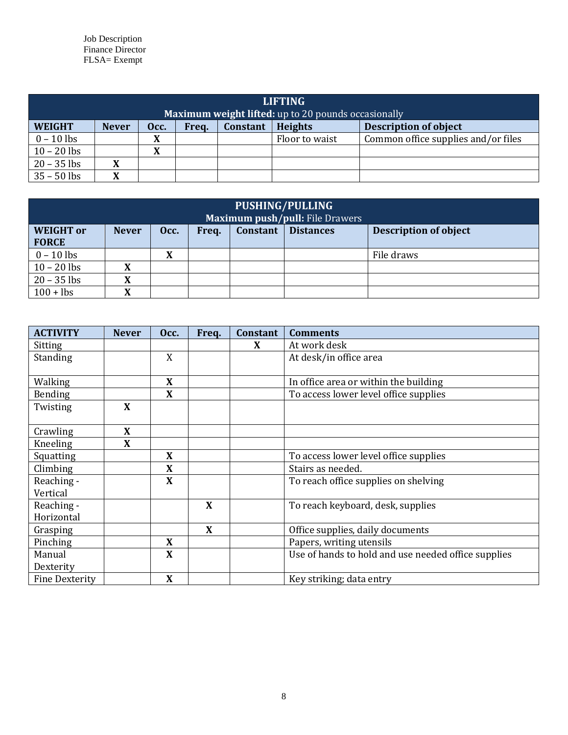Job Description Finance Director FLSA= Exempt

| <b>LIFTING</b><br><b>Maximum weight lifted:</b> up to 20 pounds occasionally |                                                                                                    |                |  |  |                |                                     |  |  |
|------------------------------------------------------------------------------|----------------------------------------------------------------------------------------------------|----------------|--|--|----------------|-------------------------------------|--|--|
| <b>WEIGHT</b>                                                                | <b>Heights</b><br><b>Constant</b><br><b>Description of object</b><br><b>Never</b><br>Occ.<br>Freq. |                |  |  |                |                                     |  |  |
| $0 - 10$ lbs                                                                 |                                                                                                    | v<br>л         |  |  | Floor to waist | Common office supplies and/or files |  |  |
| $10 - 20$ lbs                                                                |                                                                                                    | v<br>$\Lambda$ |  |  |                |                                     |  |  |
| $20 - 35$ lbs                                                                | $\mathbf{A}$                                                                                       |                |  |  |                |                                     |  |  |
| $35 - 50$ lbs                                                                |                                                                                                    |                |  |  |                |                                     |  |  |

| PUSHING/PULLING<br><b>Maximum push/pull:</b> File Drawers |              |      |       |          |                  |                              |  |  |
|-----------------------------------------------------------|--------------|------|-------|----------|------------------|------------------------------|--|--|
| <b>WEIGHT</b> or<br><b>FORCE</b>                          | <b>Never</b> | Occ. | Freq. | Constant | <b>Distances</b> | <b>Description of object</b> |  |  |
| $0 - 10$ lbs                                              |              | X    |       |          |                  | File draws                   |  |  |
| $10 - 20$ lbs                                             | л            |      |       |          |                  |                              |  |  |
| $20 - 35$ lbs                                             | v<br>л       |      |       |          |                  |                              |  |  |
| $100 +$ lbs                                               | X            |      |       |          |                  |                              |  |  |

| <b>ACTIVITY</b>       | <b>Never</b> | Occ.        | Freq. | Constant | <b>Comments</b>                                     |
|-----------------------|--------------|-------------|-------|----------|-----------------------------------------------------|
| Sitting               |              |             |       | X        | At work desk                                        |
| Standing              |              | X           |       |          | At desk/in office area                              |
|                       |              |             |       |          |                                                     |
| Walking               |              | X           |       |          | In office area or within the building               |
| Bending               |              | X           |       |          | To access lower level office supplies               |
| Twisting              | X            |             |       |          |                                                     |
|                       |              |             |       |          |                                                     |
| Crawling              | X            |             |       |          |                                                     |
| Kneeling              | X            |             |       |          |                                                     |
| Squatting             |              | X           |       |          | To access lower level office supplies               |
| Climbing              |              | X           |       |          | Stairs as needed.                                   |
| Reaching -            |              | X           |       |          | To reach office supplies on shelving                |
| Vertical              |              |             |       |          |                                                     |
| Reaching -            |              |             | X     |          | To reach keyboard, desk, supplies                   |
| Horizontal            |              |             |       |          |                                                     |
| Grasping              |              |             | X     |          | Office supplies, daily documents                    |
| Pinching              |              | X           |       |          | Papers, writing utensils                            |
| Manual                |              | X           |       |          | Use of hands to hold and use needed office supplies |
| Dexterity             |              |             |       |          |                                                     |
| <b>Fine Dexterity</b> |              | $\mathbf X$ |       |          | Key striking; data entry                            |